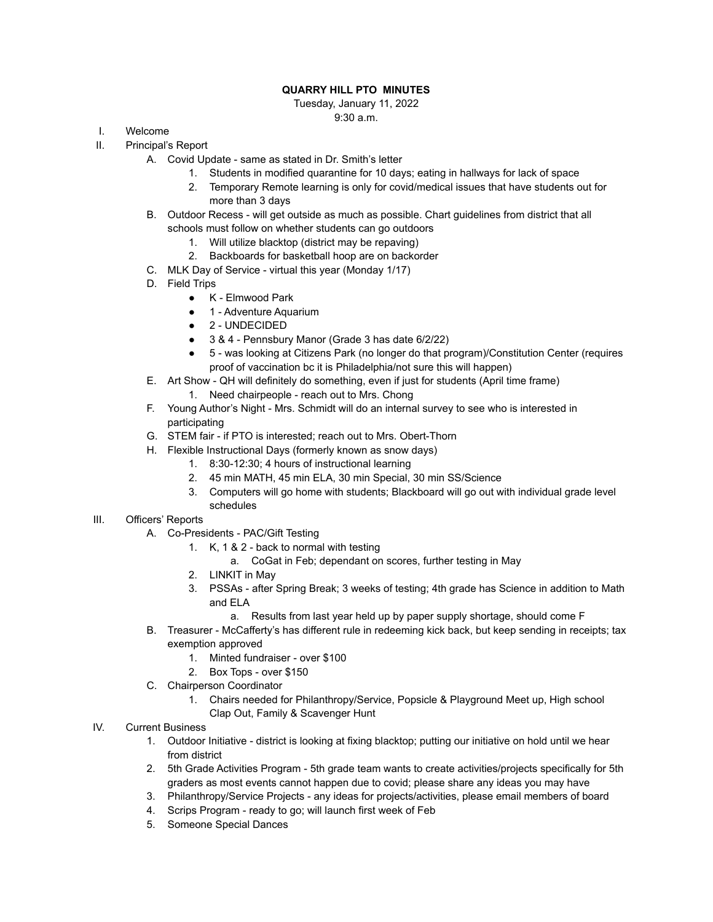## **QUARRY HILL PTO MINUTES**

Tuesday, January 11, 2022 9:30 a.m.

- I. Welcome
- II. Principal's Report
	- A. Covid Update same as stated in Dr. Smith's letter
		- 1. Students in modified quarantine for 10 days; eating in hallways for lack of space
		- 2. Temporary Remote learning is only for covid/medical issues that have students out for more than 3 days
	- B. Outdoor Recess will get outside as much as possible. Chart guidelines from district that all schools must follow on whether students can go outdoors
		- 1. Will utilize blacktop (district may be repaving)
		- 2. Backboards for basketball hoop are on backorder
	- C. MLK Day of Service virtual this year (Monday 1/17)
	- D. Field Trips
		- K Elmwood Park
		- 1 Adventure Aquarium
		- 2 UNDECIDED
		- 3 & 4 Pennsbury Manor (Grade 3 has date 6/2/22)
		- 5 was looking at Citizens Park (no longer do that program)/Constitution Center (requires proof of vaccination bc it is Philadelphia/not sure this will happen)
	- E. Art Show QH will definitely do something, even if just for students (April time frame)
		- 1. Need chairpeople reach out to Mrs. Chong
	- F. Young Author's Night Mrs. Schmidt will do an internal survey to see who is interested in participating
	- G. STEM fair if PTO is interested; reach out to Mrs. Obert-Thorn
	- H. Flexible Instructional Days (formerly known as snow days)
		- 1. 8:30-12:30; 4 hours of instructional learning
		- 2. 45 min MATH, 45 min ELA, 30 min Special, 30 min SS/Science
		- 3. Computers will go home with students; Blackboard will go out with individual grade level schedules

## III. Officers' Reports

- A. Co-Presidents PAC/Gift Testing
	- 1. K, 1 & 2 back to normal with testing
		- a. CoGat in Feb; dependant on scores, further testing in May
	- 2. LINKIT in May
	- 3. PSSAs after Spring Break; 3 weeks of testing; 4th grade has Science in addition to Math and ELA
		- a. Results from last year held up by paper supply shortage, should come F
- B. Treasurer McCafferty's has different rule in redeeming kick back, but keep sending in receipts; tax exemption approved
	- 1. Minted fundraiser over \$100
	- 2. Box Tops over \$150
- C. Chairperson Coordinator
	- 1. Chairs needed for Philanthropy/Service, Popsicle & Playground Meet up, High school Clap Out, Family & Scavenger Hunt
- IV. Current Business
	- 1. Outdoor Initiative district is looking at fixing blacktop; putting our initiative on hold until we hear from district
	- 2. 5th Grade Activities Program 5th grade team wants to create activities/projects specifically for 5th graders as most events cannot happen due to covid; please share any ideas you may have
	- 3. Philanthropy/Service Projects any ideas for projects/activities, please email members of board
	- 4. Scrips Program ready to go; will launch first week of Feb
	- 5. Someone Special Dances